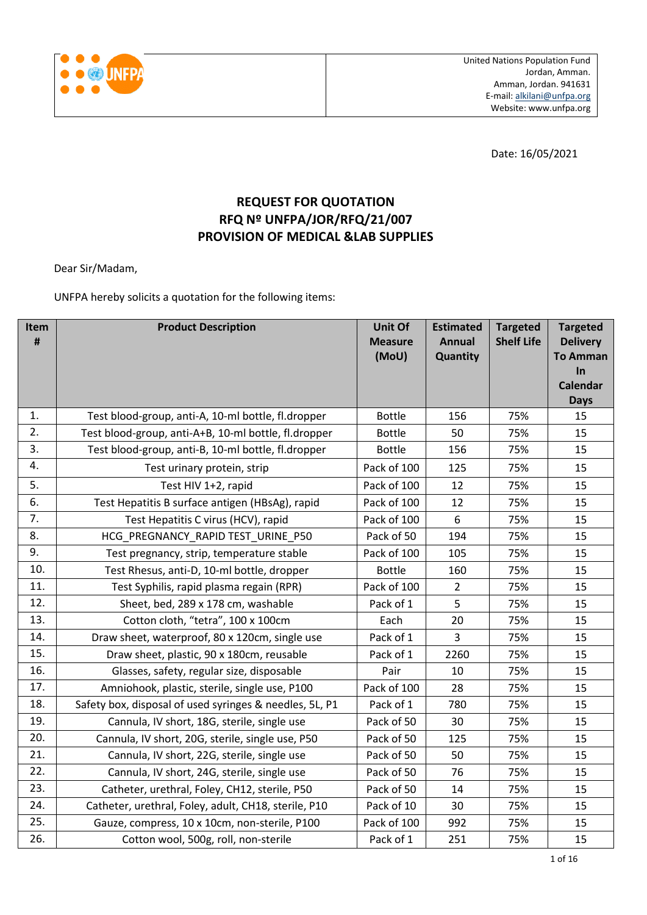

Date: 16/05/2021

## **REQUEST FOR QUOTATION RFQ Nº UNFPA/JOR/RFQ/21/007 PROVISION OF MEDICAL &LAB SUPPLIES**

Dear Sir/Madam,

UNFPA hereby solicits a quotation for the following items:

| Item<br>$\pmb{\sharp}$ | <b>Product Description</b>                              | <b>Unit Of</b><br><b>Measure</b><br>(MoU) | <b>Estimated</b><br><b>Annual</b><br>Quantity | <b>Targeted</b><br><b>Shelf Life</b> | <b>Targeted</b><br><b>Delivery</b><br><b>To Amman</b> |
|------------------------|---------------------------------------------------------|-------------------------------------------|-----------------------------------------------|--------------------------------------|-------------------------------------------------------|
|                        |                                                         |                                           |                                               |                                      | In                                                    |
|                        |                                                         |                                           |                                               |                                      | <b>Calendar</b>                                       |
|                        |                                                         |                                           |                                               |                                      | <b>Days</b>                                           |
| 1.                     | Test blood-group, anti-A, 10-ml bottle, fl.dropper      | <b>Bottle</b>                             | 156                                           | 75%                                  | 15                                                    |
| 2.                     | Test blood-group, anti-A+B, 10-ml bottle, fl.dropper    | <b>Bottle</b>                             | 50                                            | 75%                                  | 15                                                    |
| 3.                     | Test blood-group, anti-B, 10-ml bottle, fl.dropper      | <b>Bottle</b>                             | 156                                           | 75%                                  | 15                                                    |
| 4.                     | Test urinary protein, strip                             | Pack of 100                               | 125                                           | 75%                                  | 15                                                    |
| 5.                     | Test HIV 1+2, rapid                                     | Pack of 100                               | 12                                            | 75%                                  | 15                                                    |
| 6.                     | Test Hepatitis B surface antigen (HBsAg), rapid         | Pack of 100                               | 12                                            | 75%                                  | 15                                                    |
| 7.                     | Test Hepatitis C virus (HCV), rapid                     | Pack of 100                               | $\boldsymbol{6}$                              | 75%                                  | 15                                                    |
| 8.                     | HCG PREGNANCY RAPID TEST URINE P50                      | Pack of 50                                | 194                                           | 75%                                  | 15                                                    |
| 9.                     | Test pregnancy, strip, temperature stable               | Pack of 100                               | 105                                           | 75%                                  | 15                                                    |
| 10.                    | Test Rhesus, anti-D, 10-ml bottle, dropper              | <b>Bottle</b>                             | 160                                           | 75%                                  | 15                                                    |
| 11.                    | Test Syphilis, rapid plasma regain (RPR)                | Pack of 100                               | $\overline{2}$                                | 75%                                  | 15                                                    |
| 12.                    | Sheet, bed, 289 x 178 cm, washable                      | Pack of 1                                 | 5                                             | 75%                                  | 15                                                    |
| 13.                    | Cotton cloth, "tetra", 100 x 100cm                      | Each                                      | 20                                            | 75%                                  | 15                                                    |
| 14.                    | Draw sheet, waterproof, 80 x 120cm, single use          | Pack of 1                                 | 3                                             | 75%                                  | 15                                                    |
| 15.                    | Draw sheet, plastic, 90 x 180cm, reusable               | Pack of 1                                 | 2260                                          | 75%                                  | 15                                                    |
| 16.                    | Glasses, safety, regular size, disposable               | Pair                                      | 10                                            | 75%                                  | 15                                                    |
| 17.                    | Amniohook, plastic, sterile, single use, P100           | Pack of 100                               | 28                                            | 75%                                  | 15                                                    |
| 18.                    | Safety box, disposal of used syringes & needles, 5L, P1 | Pack of 1                                 | 780                                           | 75%                                  | 15                                                    |
| 19.                    | Cannula, IV short, 18G, sterile, single use             | Pack of 50                                | 30                                            | 75%                                  | 15                                                    |
| 20.                    | Cannula, IV short, 20G, sterile, single use, P50        | Pack of 50                                | 125                                           | 75%                                  | 15                                                    |
| 21.                    | Cannula, IV short, 22G, sterile, single use             | Pack of 50                                | 50                                            | 75%                                  | 15                                                    |
| 22.                    | Cannula, IV short, 24G, sterile, single use             | Pack of 50                                | 76                                            | 75%                                  | 15                                                    |
| 23.                    | Catheter, urethral, Foley, CH12, sterile, P50           | Pack of 50                                | 14                                            | 75%                                  | 15                                                    |
| 24.                    | Catheter, urethral, Foley, adult, CH18, sterile, P10    | Pack of 10                                | 30                                            | 75%                                  | 15                                                    |
| 25.                    | Gauze, compress, 10 x 10cm, non-sterile, P100           | Pack of 100                               | 992                                           | 75%                                  | 15                                                    |
| 26.                    | Cotton wool, 500g, roll, non-sterile                    | Pack of 1                                 | 251                                           | 75%                                  | 15                                                    |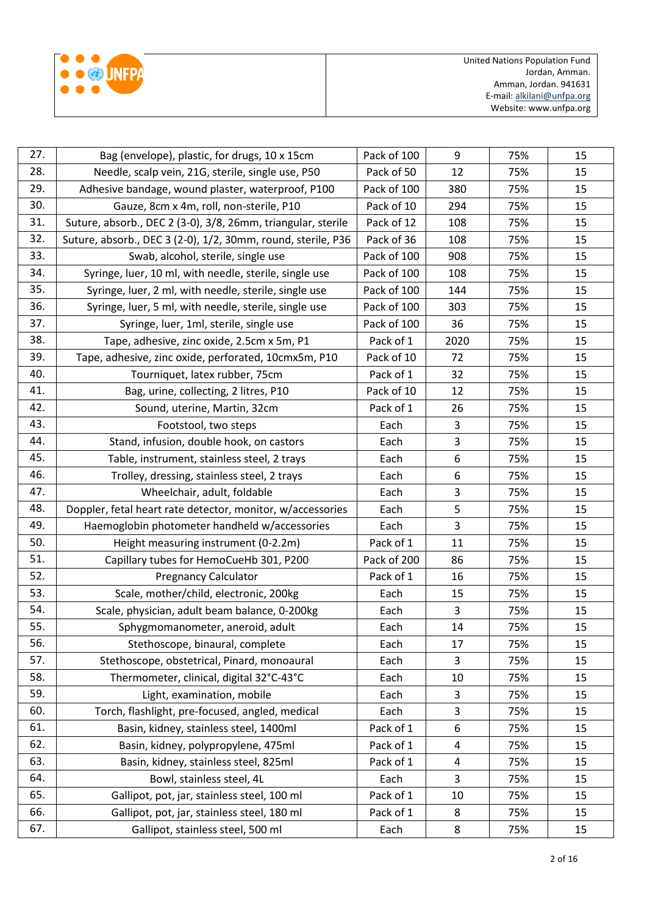|  | <b>BED UNEPA</b> |
|--|------------------|
|  |                  |
|  |                  |

| 27. | Bag (envelope), plastic, for drugs, 10 x 15cm                | Pack of 100 | 9    | 75% | 15 |
|-----|--------------------------------------------------------------|-------------|------|-----|----|
| 28. | Needle, scalp vein, 21G, sterile, single use, P50            |             | 12   | 75% | 15 |
| 29. | Adhesive bandage, wound plaster, waterproof, P100            | Pack of 100 | 380  | 75% | 15 |
| 30. | Gauze, 8cm x 4m, roll, non-sterile, P10                      | Pack of 10  | 294  | 75% | 15 |
| 31. | Suture, absorb., DEC 2 (3-0), 3/8, 26mm, triangular, sterile | Pack of 12  | 108  | 75% | 15 |
| 32. | Suture, absorb., DEC 3 (2-0), 1/2, 30mm, round, sterile, P36 | Pack of 36  | 108  | 75% | 15 |
| 33. | Swab, alcohol, sterile, single use                           | Pack of 100 | 908  | 75% | 15 |
| 34. | Syringe, luer, 10 ml, with needle, sterile, single use       | Pack of 100 | 108  | 75% | 15 |
| 35. | Syringe, luer, 2 ml, with needle, sterile, single use        | Pack of 100 | 144  | 75% | 15 |
| 36. | Syringe, luer, 5 ml, with needle, sterile, single use        | Pack of 100 | 303  | 75% | 15 |
| 37. | Syringe, luer, 1ml, sterile, single use                      | Pack of 100 | 36   | 75% | 15 |
| 38. | Tape, adhesive, zinc oxide, 2.5cm x 5m, P1                   | Pack of 1   | 2020 | 75% | 15 |
| 39. | Tape, adhesive, zinc oxide, perforated, 10cmx5m, P10         | Pack of 10  | 72   | 75% | 15 |
| 40. | Tourniquet, latex rubber, 75cm                               | Pack of 1   | 32   | 75% | 15 |
| 41. | Bag, urine, collecting, 2 litres, P10                        | Pack of 10  | 12   | 75% | 15 |
| 42. | Sound, uterine, Martin, 32cm                                 | Pack of 1   | 26   | 75% | 15 |
| 43. | Footstool, two steps                                         | Each        | 3    | 75% | 15 |
| 44. | Stand, infusion, double hook, on castors                     | Each        | 3    | 75% | 15 |
| 45. | Table, instrument, stainless steel, 2 trays                  | Each        | 6    | 75% | 15 |
| 46. | Trolley, dressing, stainless steel, 2 trays                  | Each        | 6    | 75% | 15 |
| 47. | Wheelchair, adult, foldable                                  | Each        | 3    | 75% | 15 |
| 48. | Doppler, fetal heart rate detector, monitor, w/accessories   | Each        | 5    | 75% | 15 |
| 49. | Haemoglobin photometer handheld w/accessories                | Each        | 3    | 75% | 15 |
| 50. | Height measuring instrument (0-2.2m)                         | Pack of 1   | 11   | 75% | 15 |
| 51. | Capillary tubes for HemoCueHb 301, P200                      | Pack of 200 | 86   | 75% | 15 |
| 52. | <b>Pregnancy Calculator</b>                                  | Pack of 1   | 16   | 75% | 15 |
| 53. | Scale, mother/child, electronic, 200kg                       | Each        | 15   | 75% | 15 |
| 54. | Scale, physician, adult beam balance, 0-200kg                | Each        | 3    | 75% | 15 |
| 55. | Sphygmomanometer, aneroid, adult                             | Each        | 14   | 75% | 15 |
| 56. | Stethoscope, binaural, complete                              | Each        | 17   | 75% | 15 |
| 57. | Stethoscope, obstetrical, Pinard, monoaural                  | Each        | 3    | 75% | 15 |
| 58. | Thermometer, clinical, digital 32°C-43°C                     | Each        | 10   | 75% | 15 |
| 59. | Light, examination, mobile                                   | Each        | 3    | 75% | 15 |
| 60. | Torch, flashlight, pre-focused, angled, medical              | Each        | 3    | 75% | 15 |
| 61. | Basin, kidney, stainless steel, 1400ml                       | Pack of 1   | 6    | 75% | 15 |
| 62. | Basin, kidney, polypropylene, 475ml                          | Pack of 1   | 4    | 75% | 15 |
| 63. | Basin, kidney, stainless steel, 825ml                        | Pack of 1   | 4    | 75% | 15 |
| 64. | Bowl, stainless steel, 4L                                    | Each        | 3    | 75% | 15 |
| 65. | Gallipot, pot, jar, stainless steel, 100 ml                  | Pack of 1   | 10   | 75% | 15 |
| 66. | Gallipot, pot, jar, stainless steel, 180 ml                  | Pack of 1   | 8    | 75% | 15 |
| 67. | Gallipot, stainless steel, 500 ml                            | Each        | 8    | 75% | 15 |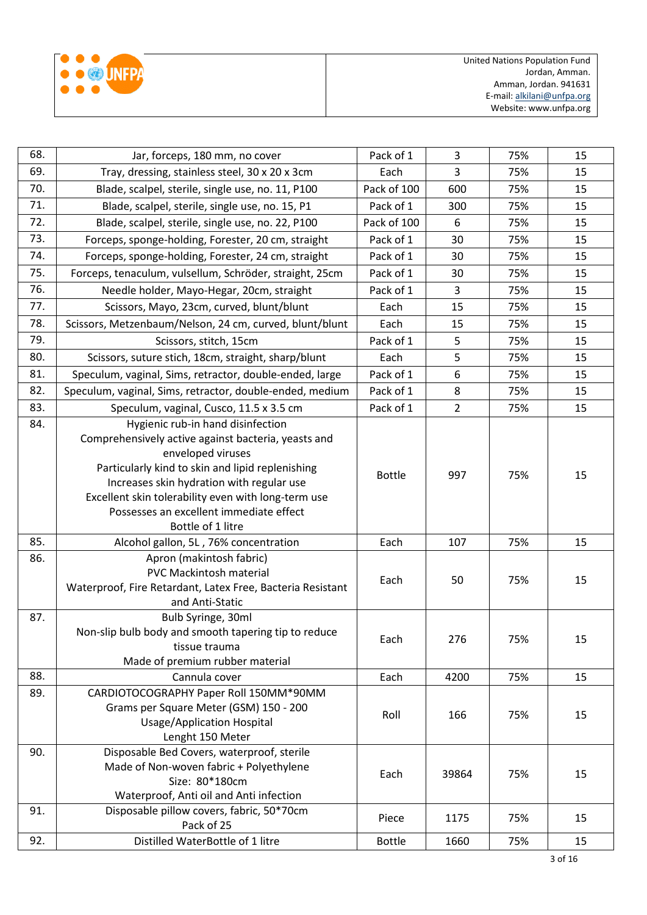|  | (3) INFPA |
|--|-----------|
|  |           |
|  |           |

| 68.        | Jar, forceps, 180 mm, no cover                                                                                                                                                                                                                                                                                                                                                 |                       | 3              | 75%        | 15       |
|------------|--------------------------------------------------------------------------------------------------------------------------------------------------------------------------------------------------------------------------------------------------------------------------------------------------------------------------------------------------------------------------------|-----------------------|----------------|------------|----------|
| 69.        | Tray, dressing, stainless steel, 30 x 20 x 3cm                                                                                                                                                                                                                                                                                                                                 | Each                  | 3              | 75%        | 15       |
| 70.        | Blade, scalpel, sterile, single use, no. 11, P100                                                                                                                                                                                                                                                                                                                              | Pack of 100           | 600            | 75%        | 15       |
| 71.        | Blade, scalpel, sterile, single use, no. 15, P1                                                                                                                                                                                                                                                                                                                                | Pack of 1             | 300            | 75%        | 15       |
| 72.        | Blade, scalpel, sterile, single use, no. 22, P100                                                                                                                                                                                                                                                                                                                              | Pack of 100           | 6              | 75%        | 15       |
| 73.        | Forceps, sponge-holding, Forester, 20 cm, straight                                                                                                                                                                                                                                                                                                                             | Pack of 1             | 30             | 75%        | 15       |
| 74.        | Forceps, sponge-holding, Forester, 24 cm, straight                                                                                                                                                                                                                                                                                                                             | Pack of 1             | 30             | 75%        | 15       |
| 75.        | Forceps, tenaculum, vulsellum, Schröder, straight, 25cm                                                                                                                                                                                                                                                                                                                        | Pack of 1             | 30             | 75%        | 15       |
| 76.        | Needle holder, Mayo-Hegar, 20cm, straight                                                                                                                                                                                                                                                                                                                                      | Pack of 1             | 3              | 75%        | 15       |
| 77.        | Scissors, Mayo, 23cm, curved, blunt/blunt                                                                                                                                                                                                                                                                                                                                      | Each                  | 15             | 75%        | 15       |
| 78.        | Scissors, Metzenbaum/Nelson, 24 cm, curved, blunt/blunt                                                                                                                                                                                                                                                                                                                        | Each                  | 15             | 75%        | 15       |
| 79.        | Scissors, stitch, 15cm                                                                                                                                                                                                                                                                                                                                                         | Pack of 1             | 5              | 75%        | 15       |
| 80.        | Scissors, suture stich, 18cm, straight, sharp/blunt                                                                                                                                                                                                                                                                                                                            | Each                  | 5              | 75%        | 15       |
| 81.        | Speculum, vaginal, Sims, retractor, double-ended, large                                                                                                                                                                                                                                                                                                                        | Pack of 1             | 6              | 75%        | 15       |
| 82.        | Speculum, vaginal, Sims, retractor, double-ended, medium                                                                                                                                                                                                                                                                                                                       | Pack of 1             | 8              | 75%        | 15       |
| 83.        | Speculum, vaginal, Cusco, 11.5 x 3.5 cm                                                                                                                                                                                                                                                                                                                                        | Pack of 1             | $\overline{2}$ | 75%        | 15       |
| 84.<br>85. | Hygienic rub-in hand disinfection<br>Comprehensively active against bacteria, yeasts and<br>enveloped viruses<br>Particularly kind to skin and lipid replenishing<br>Increases skin hydration with regular use<br>Excellent skin tolerability even with long-term use<br>Possesses an excellent immediate effect<br>Bottle of 1 litre<br>Alcohol gallon, 5L, 76% concentration | <b>Bottle</b><br>Each | 997<br>107     | 75%<br>75% | 15<br>15 |
| 86.        | Apron (makintosh fabric)<br><b>PVC Mackintosh material</b><br>Waterproof, Fire Retardant, Latex Free, Bacteria Resistant<br>and Anti-Static                                                                                                                                                                                                                                    | Each                  | 50             | 75%        | 15       |
| 87.        | Bulb Syringe, 30ml<br>Non-slip bulb body and smooth tapering tip to reduce<br>tissue trauma<br>Made of premium rubber material                                                                                                                                                                                                                                                 | Each                  | 276            | 75%        | 15       |
| 88.        | Cannula cover                                                                                                                                                                                                                                                                                                                                                                  | Each                  | 4200           | 75%        | 15       |
| 89.        | CARDIOTOCOGRAPHY Paper Roll 150MM*90MM<br>Grams per Square Meter (GSM) 150 - 200<br><b>Usage/Application Hospital</b><br>Lenght 150 Meter                                                                                                                                                                                                                                      | Roll                  | 166            | 75%        | 15       |
| 90.        | Disposable Bed Covers, waterproof, sterile<br>Made of Non-woven fabric + Polyethylene<br>Size: 80*180cm<br>Waterproof, Anti oil and Anti infection                                                                                                                                                                                                                             | Each                  | 39864          | 75%        | 15       |
| 91.        | Disposable pillow covers, fabric, 50*70cm<br>Pack of 25                                                                                                                                                                                                                                                                                                                        | Piece                 | 1175           | 75%        | 15       |
| 92.        | Distilled WaterBottle of 1 litre                                                                                                                                                                                                                                                                                                                                               | <b>Bottle</b>         | 1660           | 75%        | 15       |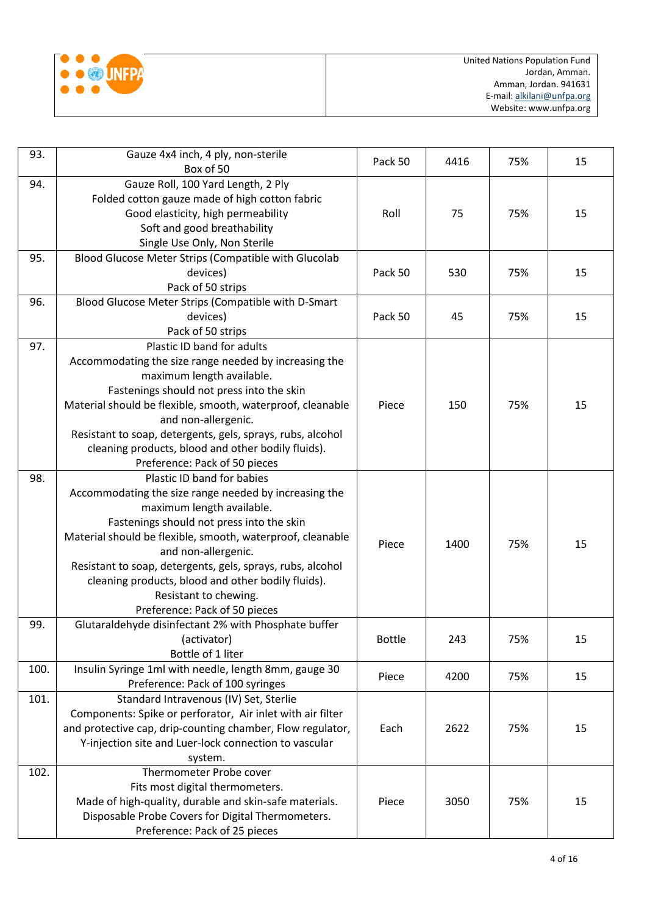

| 93.  | Gauze 4x4 inch, 4 ply, non-sterile                                         | Pack 50       | 4416 | 75% | 15 |
|------|----------------------------------------------------------------------------|---------------|------|-----|----|
|      | Box of 50                                                                  |               |      |     |    |
| 94.  | Gauze Roll, 100 Yard Length, 2 Ply                                         |               |      |     |    |
|      | Folded cotton gauze made of high cotton fabric                             |               |      |     |    |
|      | Good elasticity, high permeability                                         | Roll          | 75   | 75% | 15 |
|      | Soft and good breathability                                                |               |      |     |    |
|      | Single Use Only, Non Sterile                                               |               |      |     |    |
| 95.  | Blood Glucose Meter Strips (Compatible with Glucolab                       |               |      |     |    |
|      | devices)                                                                   | Pack 50       | 530  | 75% | 15 |
|      | Pack of 50 strips                                                          |               |      |     |    |
| 96.  | Blood Glucose Meter Strips (Compatible with D-Smart                        |               |      |     |    |
|      | devices)                                                                   | Pack 50       | 45   | 75% | 15 |
|      | Pack of 50 strips                                                          |               |      |     |    |
| 97.  | Plastic ID band for adults                                                 |               |      |     |    |
|      | Accommodating the size range needed by increasing the                      |               |      |     |    |
|      | maximum length available.                                                  |               |      |     |    |
|      | Fastenings should not press into the skin                                  |               |      |     |    |
|      | Material should be flexible, smooth, waterproof, cleanable                 | Piece         | 150  | 75% | 15 |
|      | and non-allergenic.                                                        |               |      |     |    |
|      | Resistant to soap, detergents, gels, sprays, rubs, alcohol                 |               |      |     |    |
|      | cleaning products, blood and other bodily fluids).                         |               |      |     |    |
|      | Preference: Pack of 50 pieces                                              |               |      |     |    |
| 98.  | Plastic ID band for babies                                                 |               |      |     | 15 |
|      | Accommodating the size range needed by increasing the                      |               | 1400 | 75% |    |
|      | maximum length available.                                                  |               |      |     |    |
|      | Fastenings should not press into the skin                                  |               |      |     |    |
|      | Material should be flexible, smooth, waterproof, cleanable                 | Piece         |      |     |    |
|      | and non-allergenic.                                                        |               |      |     |    |
|      | Resistant to soap, detergents, gels, sprays, rubs, alcohol                 |               |      |     |    |
|      | cleaning products, blood and other bodily fluids).                         |               |      |     |    |
|      | Resistant to chewing.                                                      |               |      |     |    |
|      | Preference: Pack of 50 pieces                                              |               |      |     |    |
| 99.  | Glutaraldehyde disinfectant 2% with Phosphate buffer                       |               |      |     | 15 |
|      | (activator)<br>Bottle of 1 liter                                           | <b>Bottle</b> | 243  | 75% |    |
| 100. |                                                                            |               |      |     |    |
|      | Insulin Syringe 1ml with needle, length 8mm, gauge 30                      | Piece         | 4200 | 75% | 15 |
| 101. | Preference: Pack of 100 syringes<br>Standard Intravenous (IV) Set, Sterlie |               |      |     |    |
|      | Components: Spike or perforator, Air inlet with air filter                 |               |      |     |    |
|      | and protective cap, drip-counting chamber, Flow regulator,                 | Each          | 2622 | 75% | 15 |
|      |                                                                            |               |      |     |    |
|      | Y-injection site and Luer-lock connection to vascular                      |               |      |     |    |
| 102. | system.<br>Thermometer Probe cover                                         |               |      |     |    |
|      | Fits most digital thermometers.                                            |               |      |     |    |
|      | Made of high-quality, durable and skin-safe materials.                     | Piece         | 3050 | 75% | 15 |
|      | Disposable Probe Covers for Digital Thermometers.                          |               |      |     |    |
|      |                                                                            |               |      |     |    |
|      | Preference: Pack of 25 pieces                                              |               |      |     |    |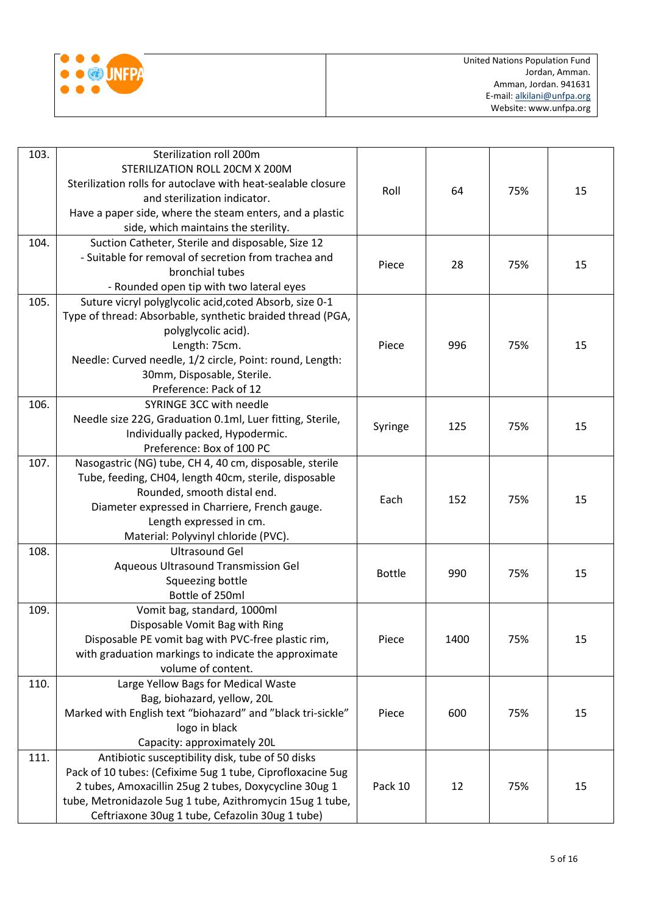

| 103. | Sterilization roll 200m                                      |               |      |     |    |
|------|--------------------------------------------------------------|---------------|------|-----|----|
|      | STERILIZATION ROLL 20CM X 200M                               |               |      |     |    |
|      | Sterilization rolls for autoclave with heat-sealable closure |               |      |     |    |
|      | and sterilization indicator.                                 | Roll          | 64   | 75% | 15 |
|      | Have a paper side, where the steam enters, and a plastic     |               |      |     |    |
|      | side, which maintains the sterility.                         |               |      |     |    |
| 104. | Suction Catheter, Sterile and disposable, Size 12            |               |      |     |    |
|      | - Suitable for removal of secretion from trachea and         |               |      |     |    |
|      | bronchial tubes                                              | Piece         | 28   | 75% | 15 |
|      | - Rounded open tip with two lateral eyes                     |               |      |     |    |
| 105. | Suture vicryl polyglycolic acid, coted Absorb, size 0-1      |               |      |     |    |
|      | Type of thread: Absorbable, synthetic braided thread (PGA,   |               |      |     |    |
|      | polyglycolic acid).                                          |               |      |     |    |
|      | Length: 75cm.                                                | Piece         | 996  | 75% | 15 |
|      | Needle: Curved needle, 1/2 circle, Point: round, Length:     |               |      |     |    |
|      | 30mm, Disposable, Sterile.                                   |               |      |     |    |
|      | Preference: Pack of 12                                       |               |      |     |    |
| 106. | SYRINGE 3CC with needle                                      |               |      |     |    |
|      | Needle size 22G, Graduation 0.1ml, Luer fitting, Sterile,    |               |      |     |    |
|      | Individually packed, Hypodermic.                             | Syringe       | 125  | 75% | 15 |
|      | Preference: Box of 100 PC                                    |               |      |     |    |
| 107. | Nasogastric (NG) tube, CH 4, 40 cm, disposable, sterile      |               |      |     |    |
|      | Tube, feeding, CH04, length 40cm, sterile, disposable        |               |      |     |    |
|      | Rounded, smooth distal end.                                  |               | 152  | 75% | 15 |
|      | Diameter expressed in Charriere, French gauge.               | Each          |      |     |    |
|      | Length expressed in cm.                                      |               |      |     |    |
|      | Material: Polyvinyl chloride (PVC).                          |               |      |     |    |
| 108. | <b>Ultrasound Gel</b>                                        |               |      |     |    |
|      | Aqueous Ultrasound Transmission Gel                          |               |      |     |    |
|      | Squeezing bottle                                             | <b>Bottle</b> | 990  | 75% | 15 |
|      | Bottle of 250ml                                              |               |      |     |    |
| 109. | Vomit bag, standard, 1000ml                                  |               |      |     |    |
|      | Disposable Vomit Bag with Ring                               |               |      |     |    |
|      | Disposable PE vomit bag with PVC-free plastic rim,           | Piece         | 1400 | 75% | 15 |
|      | with graduation markings to indicate the approximate         |               |      |     |    |
|      | volume of content.                                           |               |      |     |    |
| 110. | Large Yellow Bags for Medical Waste                          |               |      |     |    |
|      | Bag, biohazard, yellow, 20L                                  |               |      |     |    |
|      | Marked with English text "biohazard" and "black tri-sickle"  | Piece         | 600  | 75% | 15 |
|      | logo in black                                                |               |      |     |    |
|      | Capacity: approximately 20L                                  |               |      |     |    |
| 111. | Antibiotic susceptibility disk, tube of 50 disks             |               |      |     |    |
|      | Pack of 10 tubes: (Cefixime 5ug 1 tube, Ciprofloxacine 5ug   |               |      |     |    |
|      | 2 tubes, Amoxacillin 25ug 2 tubes, Doxycycline 30ug 1        | Pack 10       | 12   | 75% | 15 |
|      | tube, Metronidazole 5ug 1 tube, Azithromycin 15ug 1 tube,    |               |      |     |    |
|      | Ceftriaxone 30ug 1 tube, Cefazolin 30ug 1 tube)              |               |      |     |    |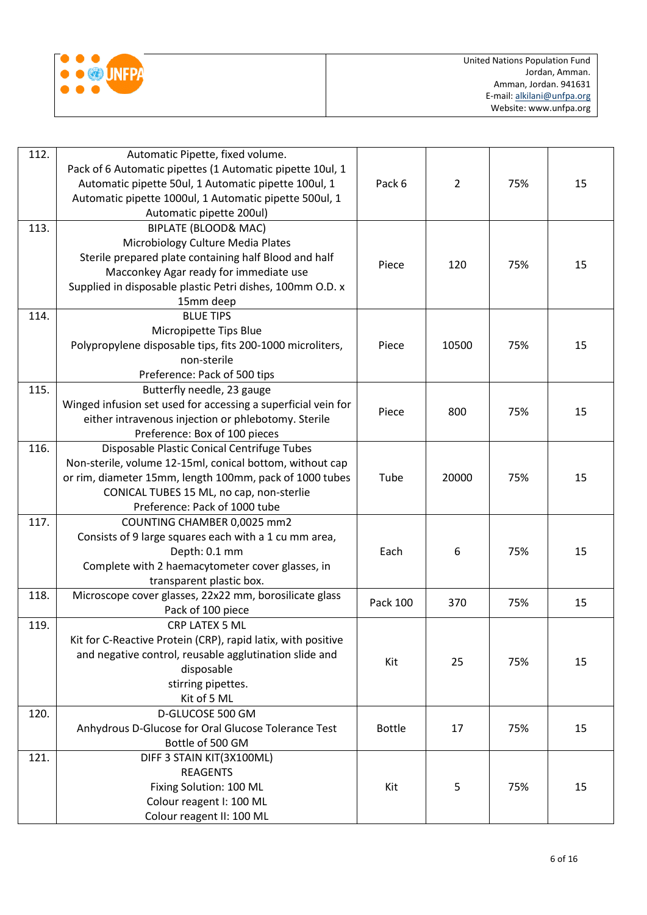

| 112. | Automatic Pipette, fixed volume.<br>Pack of 6 Automatic pipettes (1 Automatic pipette 10ul, 1<br>Automatic pipette 50ul, 1 Automatic pipette 100ul, 1<br>Automatic pipette 1000ul, 1 Automatic pipette 500ul, 1<br>Automatic pipette 200ul) | Pack 6        | 2     | 75% | 15 |
|------|---------------------------------------------------------------------------------------------------------------------------------------------------------------------------------------------------------------------------------------------|---------------|-------|-----|----|
| 113. | <b>BIPLATE (BLOOD&amp; MAC)</b><br>Microbiology Culture Media Plates<br>Sterile prepared plate containing half Blood and half                                                                                                               |               |       |     |    |
|      | Macconkey Agar ready for immediate use<br>Supplied in disposable plastic Petri dishes, 100mm O.D. x<br>15mm deep                                                                                                                            | Piece         | 120   | 75% | 15 |
| 114. | <b>BLUE TIPS</b>                                                                                                                                                                                                                            |               |       |     |    |
|      | Micropipette Tips Blue                                                                                                                                                                                                                      |               |       |     |    |
|      | Polypropylene disposable tips, fits 200-1000 microliters,                                                                                                                                                                                   | Piece         | 10500 | 75% | 15 |
|      | non-sterile                                                                                                                                                                                                                                 |               |       |     |    |
|      | Preference: Pack of 500 tips                                                                                                                                                                                                                |               |       |     |    |
| 115. | Butterfly needle, 23 gauge                                                                                                                                                                                                                  |               |       |     |    |
|      | Winged infusion set used for accessing a superficial vein for                                                                                                                                                                               |               |       |     |    |
|      | either intravenous injection or phlebotomy. Sterile                                                                                                                                                                                         | Piece         | 800   | 75% | 15 |
|      | Preference: Box of 100 pieces                                                                                                                                                                                                               |               |       |     |    |
| 116. | Disposable Plastic Conical Centrifuge Tubes                                                                                                                                                                                                 |               |       |     |    |
|      | Non-sterile, volume 12-15ml, conical bottom, without cap                                                                                                                                                                                    |               |       |     |    |
|      | or rim, diameter 15mm, length 100mm, pack of 1000 tubes                                                                                                                                                                                     | Tube          | 20000 | 75% | 15 |
|      | CONICAL TUBES 15 ML, no cap, non-sterlie                                                                                                                                                                                                    |               |       |     |    |
|      | Preference: Pack of 1000 tube                                                                                                                                                                                                               |               |       |     |    |
| 117. | COUNTING CHAMBER 0,0025 mm2                                                                                                                                                                                                                 |               |       |     |    |
|      | Consists of 9 large squares each with a 1 cu mm area,                                                                                                                                                                                       |               |       |     |    |
|      | Depth: 0.1 mm                                                                                                                                                                                                                               | Each          | 6     | 75% | 15 |
|      | Complete with 2 haemacytometer cover glasses, in                                                                                                                                                                                            |               |       |     |    |
|      | transparent plastic box.                                                                                                                                                                                                                    |               |       |     |    |
| 118. | Microscope cover glasses, 22x22 mm, borosilicate glass                                                                                                                                                                                      |               |       |     |    |
|      | Pack of 100 piece                                                                                                                                                                                                                           | Pack 100      | 370   | 75% | 15 |
| 119. | CRP LATEX 5 ML                                                                                                                                                                                                                              |               |       |     |    |
|      | Kit for C-Reactive Protein (CRP), rapid latix, with positive                                                                                                                                                                                |               |       |     |    |
|      | and negative control, reusable agglutination slide and                                                                                                                                                                                      |               |       |     |    |
|      | disposable                                                                                                                                                                                                                                  | Kit           | 25    | 75% | 15 |
|      | stirring pipettes.                                                                                                                                                                                                                          |               |       |     |    |
|      | Kit of 5 ML                                                                                                                                                                                                                                 |               |       |     |    |
| 120. | D-GLUCOSE 500 GM                                                                                                                                                                                                                            |               |       |     |    |
|      | Anhydrous D-Glucose for Oral Glucose Tolerance Test                                                                                                                                                                                         | <b>Bottle</b> | 17    | 75% | 15 |
|      | Bottle of 500 GM                                                                                                                                                                                                                            |               |       |     |    |
| 121. | DIFF 3 STAIN KIT(3X100ML)                                                                                                                                                                                                                   |               |       |     |    |
|      | <b>REAGENTS</b>                                                                                                                                                                                                                             |               |       |     |    |
|      | Fixing Solution: 100 ML                                                                                                                                                                                                                     | Kit           | 5     | 75% | 15 |
|      | Colour reagent I: 100 ML                                                                                                                                                                                                                    |               |       |     |    |
|      | Colour reagent II: 100 ML                                                                                                                                                                                                                   |               |       |     |    |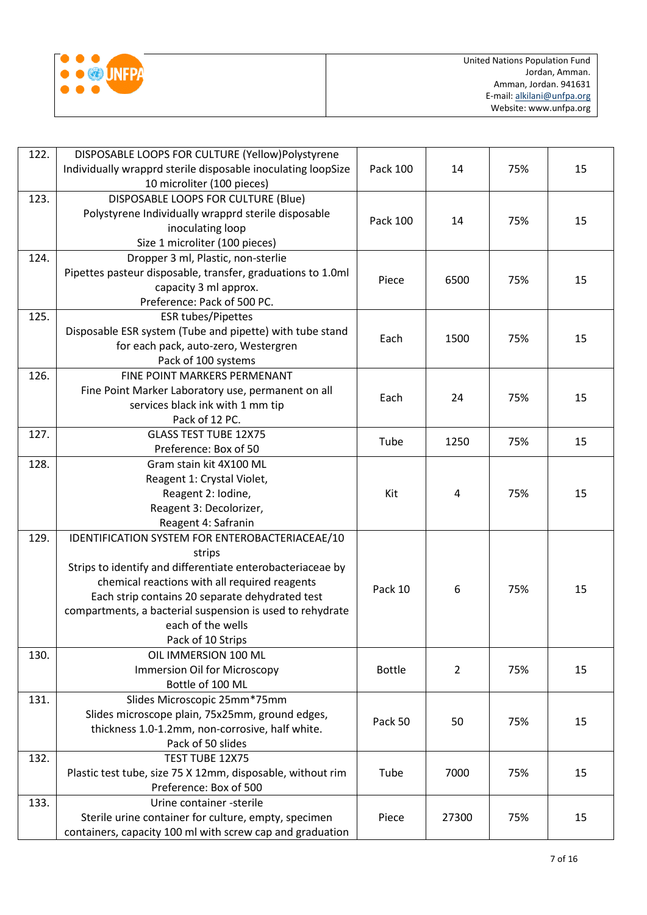

| 122. | DISPOSABLE LOOPS FOR CULTURE (Yellow)Polystyrene                     |               |                |     |    |
|------|----------------------------------------------------------------------|---------------|----------------|-----|----|
|      | Individually wrapprd sterile disposable inoculating loopSize         | Pack 100      | 14             | 75% | 15 |
|      | 10 microliter (100 pieces)                                           |               |                |     |    |
| 123. | DISPOSABLE LOOPS FOR CULTURE (Blue)                                  |               |                |     |    |
|      | Polystyrene Individually wrapprd sterile disposable                  | Pack 100      | 14             | 75% | 15 |
|      | inoculating loop                                                     |               |                |     |    |
|      | Size 1 microliter (100 pieces)                                       |               |                |     |    |
| 124. | Dropper 3 ml, Plastic, non-sterlie                                   |               |                |     |    |
|      | Pipettes pasteur disposable, transfer, graduations to 1.0ml          | Piece         | 6500           | 75% | 15 |
|      | capacity 3 ml approx.                                                |               |                |     |    |
|      | Preference: Pack of 500 PC.                                          |               |                |     |    |
| 125. | <b>ESR tubes/Pipettes</b>                                            |               |                |     |    |
|      | Disposable ESR system (Tube and pipette) with tube stand             | Each          | 1500           | 75% | 15 |
|      | for each pack, auto-zero, Westergren                                 |               |                |     |    |
|      | Pack of 100 systems                                                  |               |                |     |    |
| 126. | FINE POINT MARKERS PERMENANT                                         |               |                |     |    |
|      | Fine Point Marker Laboratory use, permanent on all                   | Each          | 24             | 75% | 15 |
|      | services black ink with 1 mm tip                                     |               |                |     |    |
|      | Pack of 12 PC.                                                       |               |                |     |    |
| 127. | <b>GLASS TEST TUBE 12X75</b>                                         | Tube          | 1250           | 75% | 15 |
|      | Preference: Box of 50                                                |               |                |     |    |
| 128. | Gram stain kit 4X100 ML                                              |               |                |     |    |
|      | Reagent 1: Crystal Violet,                                           |               |                |     |    |
|      | Reagent 2: Iodine,                                                   | Kit           | 4              | 75% | 15 |
|      | Reagent 3: Decolorizer,                                              |               |                |     |    |
| 129. | Reagent 4: Safranin                                                  |               |                |     |    |
|      | IDENTIFICATION SYSTEM FOR ENTEROBACTERIACEAE/10                      |               |                |     |    |
|      | strips<br>Strips to identify and differentiate enterobacteriaceae by |               |                |     |    |
|      | chemical reactions with all required reagents                        |               |                |     | 15 |
|      | Each strip contains 20 separate dehydrated test                      | Pack 10       | 6              | 75% |    |
|      | compartments, a bacterial suspension is used to rehydrate            |               |                |     |    |
|      | each of the wells                                                    |               |                |     |    |
|      | Pack of 10 Strips                                                    |               |                |     |    |
| 130. | OIL IMMERSION 100 ML                                                 |               |                |     |    |
|      | <b>Immersion Oil for Microscopy</b>                                  | <b>Bottle</b> | $\overline{2}$ | 75% | 15 |
|      | Bottle of 100 ML                                                     |               |                |     |    |
| 131. | Slides Microscopic 25mm*75mm                                         |               |                |     |    |
|      | Slides microscope plain, 75x25mm, ground edges,                      |               |                |     |    |
|      | thickness 1.0-1.2mm, non-corrosive, half white.                      | Pack 50       | 50             | 75% | 15 |
|      | Pack of 50 slides                                                    |               |                |     |    |
| 132. | TEST TUBE 12X75                                                      |               |                |     |    |
|      | Plastic test tube, size 75 X 12mm, disposable, without rim           | Tube          | 7000           | 75% | 15 |
|      | Preference: Box of 500                                               |               |                |     |    |
| 133. | Urine container -sterile                                             |               |                |     |    |
|      | Sterile urine container for culture, empty, specimen                 | Piece         | 27300          | 75% | 15 |
|      | containers, capacity 100 ml with screw cap and graduation            |               |                |     |    |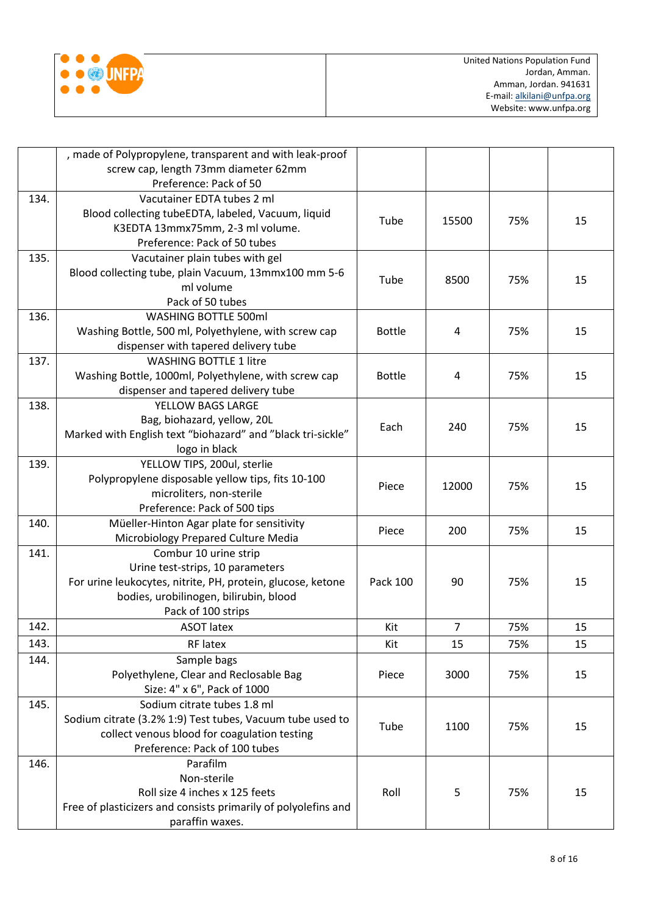

|      | , made of Polypropylene, transparent and with leak-proof<br>screw cap, length 73mm diameter 62mm |               |                |     |    |
|------|--------------------------------------------------------------------------------------------------|---------------|----------------|-----|----|
|      | Preference: Pack of 50                                                                           |               |                |     |    |
| 134. | Vacutainer EDTA tubes 2 ml                                                                       |               |                |     |    |
|      | Blood collecting tubeEDTA, labeled, Vacuum, liquid                                               | Tube          | 15500          | 75% | 15 |
|      | K3EDTA 13mmx75mm, 2-3 ml volume.                                                                 |               |                |     |    |
|      | Preference: Pack of 50 tubes                                                                     |               |                |     |    |
| 135. | Vacutainer plain tubes with gel                                                                  |               |                |     |    |
|      | Blood collecting tube, plain Vacuum, 13mmx100 mm 5-6                                             | Tube          | 8500           | 75% | 15 |
|      | ml volume                                                                                        |               |                |     |    |
|      | Pack of 50 tubes                                                                                 |               |                |     |    |
| 136. | <b>WASHING BOTTLE 500ml</b>                                                                      |               |                |     |    |
|      | Washing Bottle, 500 ml, Polyethylene, with screw cap                                             | <b>Bottle</b> | 4              | 75% | 15 |
|      | dispenser with tapered delivery tube                                                             |               |                |     |    |
| 137. | <b>WASHING BOTTLE 1 litre</b>                                                                    |               |                |     |    |
|      | Washing Bottle, 1000ml, Polyethylene, with screw cap                                             | <b>Bottle</b> | 4              | 75% | 15 |
|      | dispenser and tapered delivery tube                                                              |               |                |     |    |
| 138. | YELLOW BAGS LARGE                                                                                |               |                |     |    |
|      | Bag, biohazard, yellow, 20L                                                                      | Each          | 240            | 75% | 15 |
|      | Marked with English text "biohazard" and "black tri-sickle"                                      |               |                |     |    |
| 139. | logo in black<br>YELLOW TIPS, 200ul, sterlie                                                     |               |                |     |    |
|      | Polypropylene disposable yellow tips, fits 10-100                                                |               |                |     |    |
|      | microliters, non-sterile                                                                         | Piece         | 12000          | 75% | 15 |
|      | Preference: Pack of 500 tips                                                                     |               |                |     |    |
| 140. | Müeller-Hinton Agar plate for sensitivity                                                        |               |                |     |    |
|      | Microbiology Prepared Culture Media                                                              | Piece         | 200            | 75% | 15 |
| 141. | Combur 10 urine strip                                                                            |               |                |     |    |
|      | Urine test-strips, 10 parameters                                                                 |               |                |     |    |
|      | For urine leukocytes, nitrite, PH, protein, glucose, ketone                                      | Pack 100      | 90             | 75% | 15 |
|      | bodies, urobilinogen, bilirubin, blood                                                           |               |                |     |    |
|      | Pack of 100 strips                                                                               |               |                |     |    |
| 142. | <b>ASOT latex</b>                                                                                | Kit           | $\overline{7}$ | 75% | 15 |
| 143. | RF latex                                                                                         | Kit           | 15             | 75% | 15 |
| 144. | Sample bags                                                                                      |               |                |     |    |
|      | Polyethylene, Clear and Reclosable Bag                                                           | Piece         | 3000           | 75% | 15 |
|      | Size: 4" x 6", Pack of 1000                                                                      |               |                |     |    |
| 145. | Sodium citrate tubes 1.8 ml                                                                      |               |                |     |    |
|      | Sodium citrate (3.2% 1:9) Test tubes, Vacuum tube used to                                        |               |                |     |    |
|      | collect venous blood for coagulation testing                                                     | Tube          | 1100           | 75% | 15 |
|      | Preference: Pack of 100 tubes                                                                    |               |                |     |    |
| 146. | Parafilm                                                                                         |               |                |     |    |
|      | Non-sterile                                                                                      |               |                |     |    |
|      | Roll size 4 inches x 125 feets                                                                   | Roll          | 5              | 75% | 15 |
|      | Free of plasticizers and consists primarily of polyolefins and                                   |               |                |     |    |
|      | paraffin waxes.                                                                                  |               |                |     |    |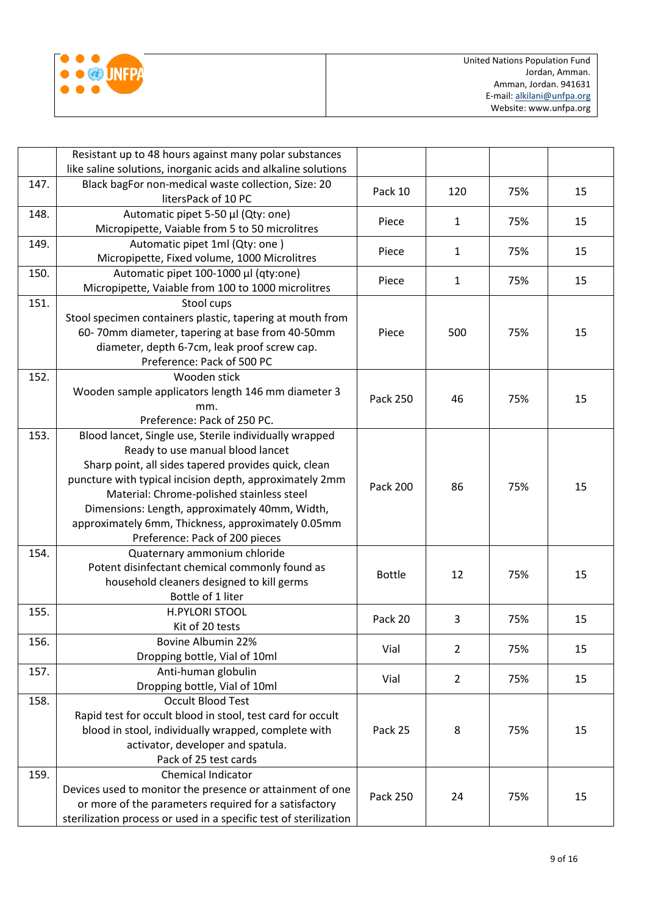|  | <b>UNEP</b> |
|--|-------------|
|  |             |
|  |             |

|      | Resistant up to 48 hours against many polar substances            |                 |                |     |    |
|------|-------------------------------------------------------------------|-----------------|----------------|-----|----|
|      | like saline solutions, inorganic acids and alkaline solutions     |                 |                |     |    |
| 147. | Black bagFor non-medical waste collection, Size: 20               |                 |                |     |    |
|      | litersPack of 10 PC                                               | Pack 10         | 120            | 75% | 15 |
| 148. | Automatic pipet 5-50 µl (Qty: one)                                |                 |                |     |    |
|      | Micropipette, Vaiable from 5 to 50 microlitres                    | Piece           | $\mathbf{1}$   | 75% | 15 |
| 149. | Automatic pipet 1ml (Qty: one)                                    |                 |                |     |    |
|      | Micropipette, Fixed volume, 1000 Microlitres                      | Piece           | 1              | 75% | 15 |
| 150. | Automatic pipet 100-1000 µl (qty:one)                             |                 |                |     |    |
|      | Micropipette, Vaiable from 100 to 1000 microlitres                | Piece           | $\mathbf{1}$   | 75% | 15 |
| 151. | Stool cups                                                        |                 |                |     |    |
|      | Stool specimen containers plastic, tapering at mouth from         |                 |                |     |    |
|      | 60-70mm diameter, tapering at base from 40-50mm                   | Piece           | 500            | 75% | 15 |
|      | diameter, depth 6-7cm, leak proof screw cap.                      |                 |                |     |    |
|      | Preference: Pack of 500 PC                                        |                 |                |     |    |
| 152. | Wooden stick                                                      |                 |                |     |    |
|      | Wooden sample applicators length 146 mm diameter 3                | <b>Pack 250</b> | 46             | 75% | 15 |
|      | mm.                                                               |                 |                |     |    |
|      | Preference: Pack of 250 PC.                                       |                 |                |     |    |
| 153. | Blood lancet, Single use, Sterile individually wrapped            |                 |                |     |    |
|      | Ready to use manual blood lancet                                  |                 |                |     |    |
|      | Sharp point, all sides tapered provides quick, clean              |                 |                | 75% | 15 |
|      | puncture with typical incision depth, approximately 2mm           | <b>Pack 200</b> | 86             |     |    |
|      | Material: Chrome-polished stainless steel                         |                 |                |     |    |
|      | Dimensions: Length, approximately 40mm, Width,                    |                 |                |     |    |
|      | approximately 6mm, Thickness, approximately 0.05mm                |                 |                |     |    |
|      | Preference: Pack of 200 pieces                                    |                 |                |     |    |
| 154. | Quaternary ammonium chloride                                      |                 |                |     |    |
|      | Potent disinfectant chemical commonly found as                    | <b>Bottle</b>   | 12             | 75% | 15 |
|      | household cleaners designed to kill germs                         |                 |                |     |    |
|      | Bottle of 1 liter                                                 |                 |                |     |    |
| 155. | <b>H.PYLORI STOOL</b>                                             | Pack 20         | 3              | 75% | 15 |
|      | Kit of 20 tests                                                   |                 |                |     |    |
| 156. | Bovine Albumin 22%                                                | Vial            | $\overline{2}$ | 75% | 15 |
|      | Dropping bottle, Vial of 10ml                                     |                 |                |     |    |
| 157. | Anti-human globulin                                               | Vial            | $\overline{2}$ | 75% | 15 |
|      | Dropping bottle, Vial of 10ml                                     |                 |                |     |    |
| 158. | <b>Occult Blood Test</b>                                          |                 |                |     |    |
|      | Rapid test for occult blood in stool, test card for occult        |                 |                |     |    |
|      | blood in stool, individually wrapped, complete with               | Pack 25         | 8              | 75% | 15 |
|      | activator, developer and spatula.                                 |                 |                |     |    |
|      | Pack of 25 test cards                                             |                 |                |     |    |
| 159. | Chemical Indicator                                                |                 |                |     |    |
|      | Devices used to monitor the presence or attainment of one         | <b>Pack 250</b> | 24             | 75% | 15 |
|      | or more of the parameters required for a satisfactory             |                 |                |     |    |
|      | sterilization process or used in a specific test of sterilization |                 |                |     |    |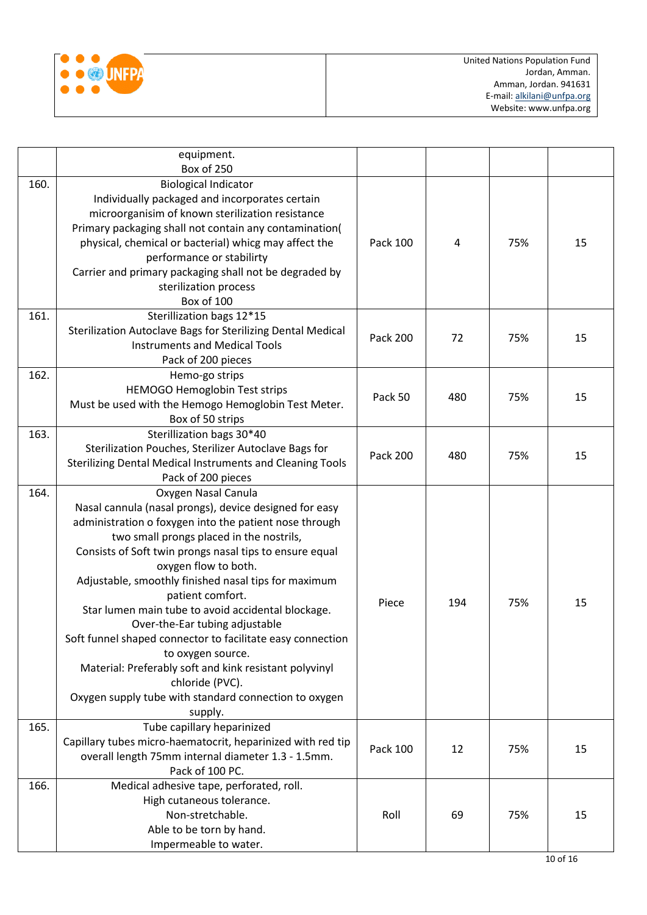

|      | equipment.<br>Box of 250                                                                                                                                                                                                                                                                                                                                                                                                                                                                                                                                                                                                                                                       |                 |     |     |    |
|------|--------------------------------------------------------------------------------------------------------------------------------------------------------------------------------------------------------------------------------------------------------------------------------------------------------------------------------------------------------------------------------------------------------------------------------------------------------------------------------------------------------------------------------------------------------------------------------------------------------------------------------------------------------------------------------|-----------------|-----|-----|----|
| 160. | <b>Biological Indicator</b><br>Individually packaged and incorporates certain<br>microorganisim of known sterilization resistance<br>Primary packaging shall not contain any contamination(<br>physical, chemical or bacterial) whicg may affect the<br>performance or stabilirty<br>Carrier and primary packaging shall not be degraded by<br>sterilization process<br>Box of 100                                                                                                                                                                                                                                                                                             | Pack 100        | 4   | 75% | 15 |
| 161. | Sterillization bags 12*15<br>Sterilization Autoclave Bags for Sterilizing Dental Medical<br><b>Instruments and Medical Tools</b><br>Pack of 200 pieces                                                                                                                                                                                                                                                                                                                                                                                                                                                                                                                         | <b>Pack 200</b> | 72  | 75% | 15 |
| 162. | Hemo-go strips<br>HEMOGO Hemoglobin Test strips<br>Must be used with the Hemogo Hemoglobin Test Meter.<br>Box of 50 strips                                                                                                                                                                                                                                                                                                                                                                                                                                                                                                                                                     | Pack 50         | 480 | 75% | 15 |
| 163. | Sterillization bags 30*40<br>Sterilization Pouches, Sterilizer Autoclave Bags for<br>Sterilizing Dental Medical Instruments and Cleaning Tools<br>Pack of 200 pieces                                                                                                                                                                                                                                                                                                                                                                                                                                                                                                           | <b>Pack 200</b> | 480 | 75% | 15 |
| 164. | Oxygen Nasal Canula<br>Nasal cannula (nasal prongs), device designed for easy<br>administration o foxygen into the patient nose through<br>two small prongs placed in the nostrils,<br>Consists of Soft twin prongs nasal tips to ensure equal<br>oxygen flow to both.<br>Adjustable, smoothly finished nasal tips for maximum<br>patient comfort.<br>Star lumen main tube to avoid accidental blockage.<br>Over-the-Ear tubing adjustable<br>Soft funnel shaped connector to facilitate easy connection<br>to oxygen source.<br>Material: Preferably soft and kink resistant polyvinyl<br>chloride (PVC).<br>Oxygen supply tube with standard connection to oxygen<br>supply. | Piece           | 194 | 75% | 15 |
| 165. | Tube capillary heparinized<br>Capillary tubes micro-haematocrit, heparinized with red tip<br>overall length 75mm internal diameter 1.3 - 1.5mm.<br>Pack of 100 PC.                                                                                                                                                                                                                                                                                                                                                                                                                                                                                                             | Pack 100        | 12  | 75% | 15 |
| 166. | Medical adhesive tape, perforated, roll.<br>High cutaneous tolerance.<br>Non-stretchable.<br>Able to be torn by hand.<br>Impermeable to water.                                                                                                                                                                                                                                                                                                                                                                                                                                                                                                                                 | Roll            | 69  | 75% | 15 |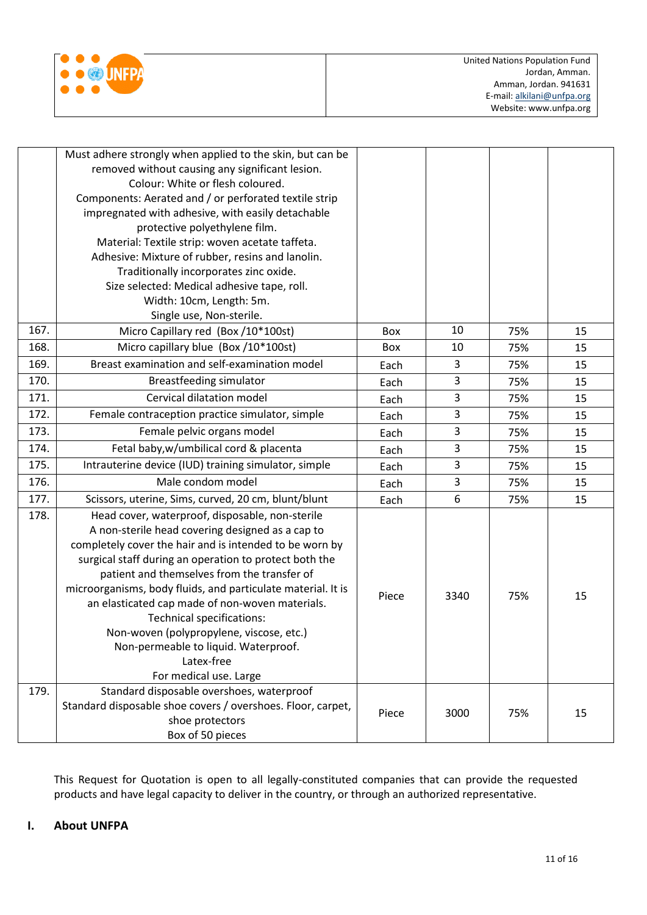

|      | Must adhere strongly when applied to the skin, but can be<br>removed without causing any significant lesion.<br>Colour: White or flesh coloured.<br>Components: Aerated and / or perforated textile strip<br>impregnated with adhesive, with easily detachable<br>protective polyethylene film.<br>Material: Textile strip: woven acetate taffeta.<br>Adhesive: Mixture of rubber, resins and lanolin.<br>Traditionally incorporates zinc oxide.<br>Size selected: Medical adhesive tape, roll.<br>Width: 10cm, Length: 5m.<br>Single use, Non-sterile.    |       |      |     |    |
|------|------------------------------------------------------------------------------------------------------------------------------------------------------------------------------------------------------------------------------------------------------------------------------------------------------------------------------------------------------------------------------------------------------------------------------------------------------------------------------------------------------------------------------------------------------------|-------|------|-----|----|
| 167. | Micro Capillary red (Box /10*100st)                                                                                                                                                                                                                                                                                                                                                                                                                                                                                                                        | Box   | 10   | 75% | 15 |
| 168. | Micro capillary blue (Box /10*100st)                                                                                                                                                                                                                                                                                                                                                                                                                                                                                                                       | Box   | 10   | 75% | 15 |
| 169. | Breast examination and self-examination model                                                                                                                                                                                                                                                                                                                                                                                                                                                                                                              |       | 3    | 75% | 15 |
| 170. | <b>Breastfeeding simulator</b>                                                                                                                                                                                                                                                                                                                                                                                                                                                                                                                             |       | 3    | 75% | 15 |
| 171. | Cervical dilatation model                                                                                                                                                                                                                                                                                                                                                                                                                                                                                                                                  | Each  | 3    | 75% | 15 |
| 172. | Female contraception practice simulator, simple                                                                                                                                                                                                                                                                                                                                                                                                                                                                                                            | Each  | 3    | 75% | 15 |
| 173. | Female pelvic organs model                                                                                                                                                                                                                                                                                                                                                                                                                                                                                                                                 | Each  | 3    | 75% | 15 |
| 174. | Fetal baby, w/umbilical cord & placenta                                                                                                                                                                                                                                                                                                                                                                                                                                                                                                                    | Each  | 3    | 75% | 15 |
| 175. | Intrauterine device (IUD) training simulator, simple                                                                                                                                                                                                                                                                                                                                                                                                                                                                                                       | Each  | 3    | 75% | 15 |
| 176. | Male condom model                                                                                                                                                                                                                                                                                                                                                                                                                                                                                                                                          | Each  | 3    | 75% | 15 |
| 177. | Scissors, uterine, Sims, curved, 20 cm, blunt/blunt                                                                                                                                                                                                                                                                                                                                                                                                                                                                                                        | Each  | 6    | 75% | 15 |
| 178. | Head cover, waterproof, disposable, non-sterile<br>A non-sterile head covering designed as a cap to<br>completely cover the hair and is intended to be worn by<br>surgical staff during an operation to protect both the<br>patient and themselves from the transfer of<br>microorganisms, body fluids, and particulate material. It is<br>an elasticated cap made of non-woven materials.<br><b>Technical specifications:</b><br>Non-woven (polypropylene, viscose, etc.)<br>Non-permeable to liquid. Waterproof.<br>Latex-free<br>For medical use. Large | Piece | 3340 | 75% | 15 |
| 179. | Standard disposable overshoes, waterproof<br>Standard disposable shoe covers / overshoes. Floor, carpet,<br>shoe protectors<br>Box of 50 pieces                                                                                                                                                                                                                                                                                                                                                                                                            | Piece | 3000 | 75% | 15 |

This Request for Quotation is open to all legally-constituted companies that can provide the requested products and have legal capacity to deliver in the country, or through an authorized representative.

## **I. About UNFPA**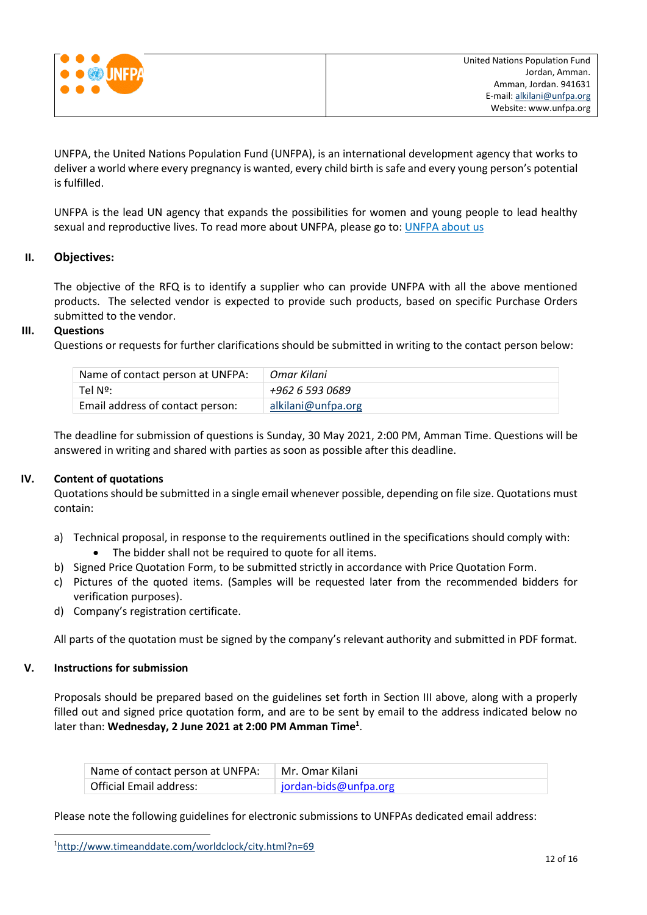

UNFPA, the United Nations Population Fund (UNFPA), is an international development agency that works to deliver a world where every pregnancy is wanted, every child birth is safe and every young person's potential is fulfilled.

UNFPA is the lead UN agency that expands the possibilities for women and young people to lead healthy sexual and reproductive lives. To read more about UNFPA, please go to[: UNFPA about us](http://www.unfpa.org/about-us)

### **II. Objectives:**

The objective of the RFQ is to identify a supplier who can provide UNFPA with all the above mentioned products. The selected vendor is expected to provide such products, based on specific Purchase Orders submitted to the vendor.

#### **III. Questions**

Questions or requests for further clarifications should be submitted in writing to the contact person below:

| Name of contact person at UNFPA: | Omar Kilani        |
|----------------------------------|--------------------|
| Tel Nº:                          | +962 6 593 0689    |
| Email address of contact person: | alkilani@unfpa.org |

The deadline for submission of questions is Sunday, 30 May 2021, 2:00 PM, Amman Time. Questions will be answered in writing and shared with parties as soon as possible after this deadline.

#### **IV. Content of quotations**

Quotations should be submitted in a single email whenever possible, depending on file size. Quotations must contain:

- a) Technical proposal, in response to the requirements outlined in the specifications should comply with: The bidder shall not be required to quote for all items.
- b) Signed Price Quotation Form, to be submitted strictly in accordance with Price Quotation Form.
- c) Pictures of the quoted items. (Samples will be requested later from the recommended bidders for verification purposes).
- d) Company's registration certificate.

All parts of the quotation must be signed by the company's relevant authority and submitted in PDF format.

#### **V. Instructions for submission**

l

Proposals should be prepared based on the guidelines set forth in Section III above, along with a properly filled out and signed price quotation form, and are to be sent by email to the address indicated below no later than: **Wednesday, 2 June 2021 at 2:00 PM Amman Time<sup>1</sup>** .

| Name of contact person at UNFPA: | Mr. Omar Kilani       |
|----------------------------------|-----------------------|
| Official Email address:          | jordan-bids@unfpa.org |

Please note the following guidelines for electronic submissions to UNFPAs dedicated email address:

<sup>1</sup><http://www.timeanddate.com/worldclock/city.html?n=69>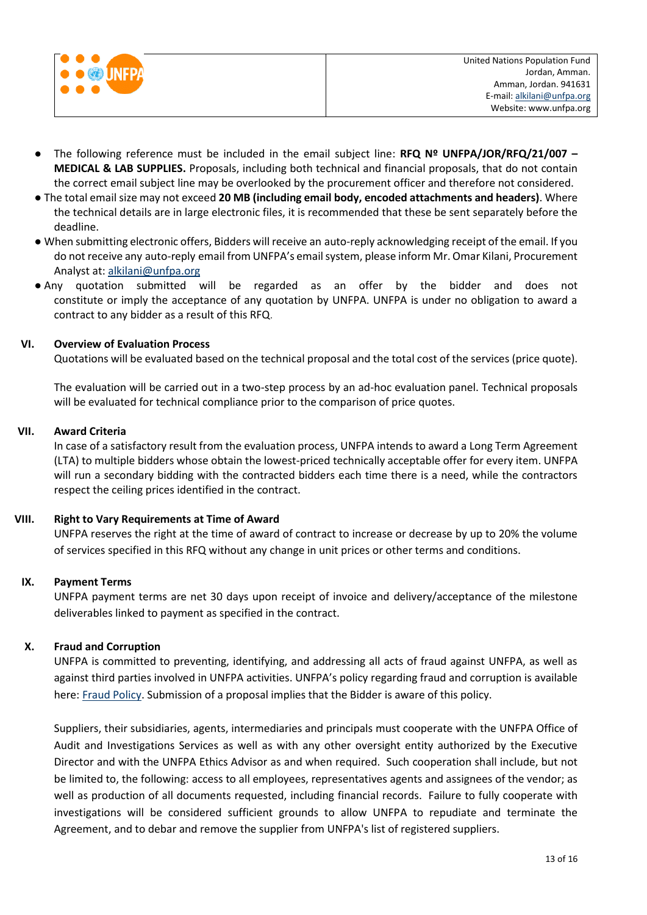

- The following reference must be included in the email subject line: **RFQ Nº UNFPA/JOR/RFQ/21/007 – MEDICAL & LAB SUPPLIES.** Proposals, including both technical and financial proposals, that do not contain the correct email subject line may be overlooked by the procurement officer and therefore not considered.
- The total email size may not exceed **20 MB (including email body, encoded attachments and headers)**. Where the technical details are in large electronic files, it is recommended that these be sent separately before the deadline.
- When submitting electronic offers, Bidders will receive an auto-reply acknowledging receipt of the email. If you do not receive any auto-reply email from UNFPA's email system, please inform Mr. Omar Kilani, Procurement Analyst at[: alkilani@unfpa.org](mailto:alkilani@unfpa.org)
- Any quotation submitted will be regarded as an offer by the bidder and does not constitute or imply the acceptance of any quotation by UNFPA. UNFPA is under no obligation to award a contract to any bidder as a result of this RFQ.

#### **VI. Overview of Evaluation Process**

Quotations will be evaluated based on the technical proposal and the total cost of the services (price quote).

The evaluation will be carried out in a two-step process by an ad-hoc evaluation panel. Technical proposals will be evaluated for technical compliance prior to the comparison of price quotes.

#### **VII. Award Criteria**

In case of a satisfactory result from the evaluation process, UNFPA intends to award a Long Term Agreement (LTA) to multiple bidders whose obtain the lowest-priced technically acceptable offer for every item. UNFPA will run a secondary bidding with the contracted bidders each time there is a need, while the contractors respect the ceiling prices identified in the contract.

#### **VIII. Right to Vary Requirements at Time of Award**

UNFPA reserves the right at the time of award of contract to increase or decrease by up to 20% the volume of services specified in this RFQ without any change in unit prices or other terms and conditions.

## **IX. Payment Terms**

UNFPA payment terms are net 30 days upon receipt of invoice and delivery/acceptance of the milestone deliverables linked to payment as specified in the contract.

## **X. [Fraud and Corruption](http://www.unfpa.org/about-procurement#FraudCorruption)**

UNFPA is committed to preventing, identifying, and addressing all acts of fraud against UNFPA, as well as against third parties involved in UNFPA activities. UNFPA's policy regarding fraud and corruption is available here[: Fraud Policy.](http://www.unfpa.org/resources/fraud-policy-2009#overlay-context=node/10356/draft) Submission of a proposal implies that the Bidder is aware of this policy.

Suppliers, their subsidiaries, agents, intermediaries and principals must cooperate with the UNFPA Office of Audit and Investigations Services as well as with any other oversight entity authorized by the Executive Director and with the UNFPA Ethics Advisor as and when required. Such cooperation shall include, but not be limited to, the following: access to all employees, representatives agents and assignees of the vendor; as well as production of all documents requested, including financial records. Failure to fully cooperate with investigations will be considered sufficient grounds to allow UNFPA to repudiate and terminate the Agreement, and to debar and remove the supplier from UNFPA's list of registered suppliers.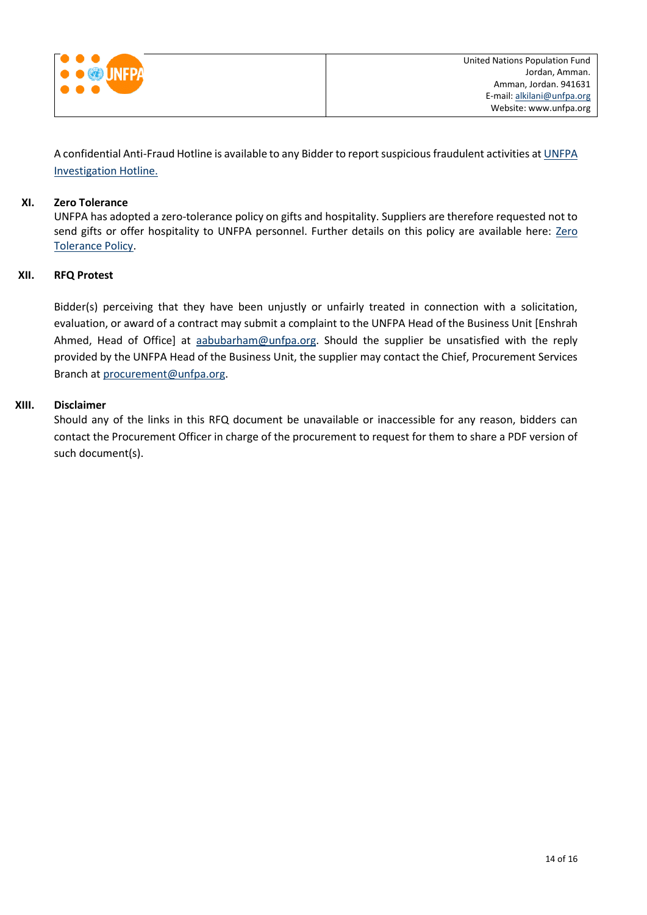

A confidential Anti-Fraud Hotline is available to any Bidder to report suspicious fraudulent activities a[t UNFPA](http://web2.unfpa.org/help/hotline.cfm)  [Investigation Hotline.](http://web2.unfpa.org/help/hotline.cfm)

## **XI. Zero Tolerance**

UNFPA has adopted a zero-tolerance policy on gifts and hospitality. Suppliers are therefore requested not to send gifts or offer hospitality to UNFPA personnel. Further details on this policy are available here: [Zero](http://www.unfpa.org/about-procurement#ZeroTolerance)  [Tolerance Policy.](http://www.unfpa.org/about-procurement#ZeroTolerance)

### **XII. RFQ Protest**

Bidder(s) perceiving that they have been unjustly or unfairly treated in connection with a solicitation, evaluation, or award of a contract may submit a complaint to the UNFPA Head of the Business Unit [Enshrah Ahmed, Head of Office] at [aabubarham@unfpa.org.](mailto:aabubarham@unfpa.org) Should the supplier be unsatisfied with the reply provided by the UNFPA Head of the Business Unit, the supplier may contact the Chief, Procurement Services Branch at [procurement@unfpa.org.](mailto:procurement@unfpa.org)

#### **XIII. Disclaimer**

Should any of the links in this RFQ document be unavailable or inaccessible for any reason, bidders can contact the Procurement Officer in charge of the procurement to request for them to share a PDF version of such document(s).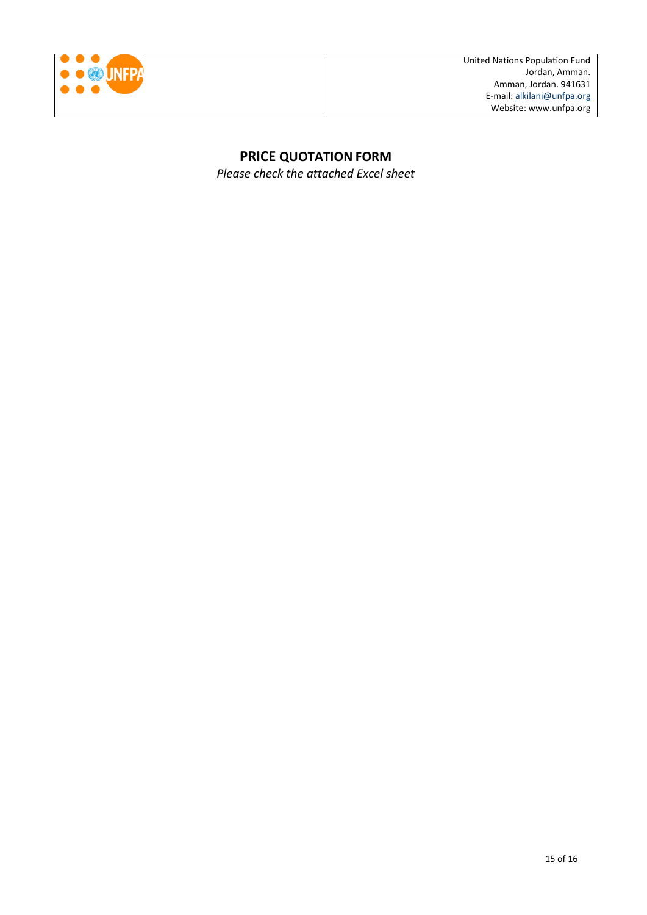

## **PRICE QUOTATION FORM**

*Please check the attached Excel sheet*